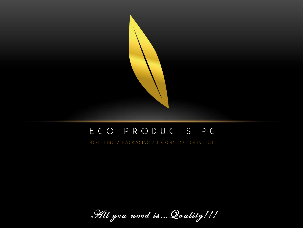

#### EGO PRODUCTS PC

BOTTLING / PACKAGING / EXPORT OF OLIVE OIL

Hil you need is... Quality!!!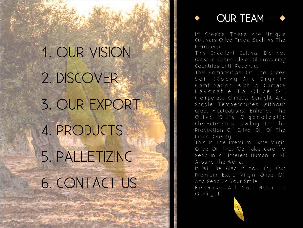1. OUR VISION 2. DISCOVER 3. OUR EXPORT 4. PRODUCTS 5. PALLETIZING 6. CONTACT US



In Greece There Are Unique Cultivars Olive Trees, Such As The Koroneiki.

This Excellent Cultivar Did Not Grow In Other Olive Oil Producing Countries Until Recently.

The Composition Of The Greek Combination With A Climate Favorable To Olive Oil (Temperate Climate, Sunlight And Stable Temperatures Without Great Fluctuations) Enhance The Olive Oil's Organoleptic Characteristics Leading To The Production Of Olive Oil Of The Finest Quality.

This Is The Premium Extra Virgin Olive Oil That We Take Care To Send In All Interest Human In All Around The World.

It Will Be Glad If You Try Our Premium Extra Virgin Olive Oil And Send Us Your Smile!

Because… All You Need Is Quality...!!!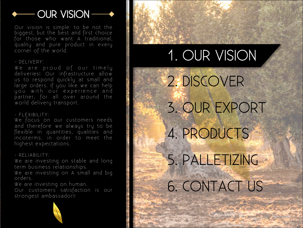#### **OUR VISION-**

Our vision is simple: to be not the biggest, but the best and first choice for those who want A traditional, quality and pure product in every corner of the world.

- DELIVERY:

We are proud of our timely deliveries! Our infrastructure allow us to respond quickly at small and large orders. If you like we can help you with our experience and partner, for all over around the world delivery transport.

#### $-$  FLEXIBILITY $\cdot$

We focus on our customers needs and therefore we always try to be flexible in quantities, qualities and incoterms, in order to meet the highest expectations.

#### - RELIABILITY:

We are investing on stable and long term business relationships.

We are investing on A small and big orders.

We are investing on human. Our customers satisfaction is our strongest ambassador!!





#### 1. OUR VISION

2. DISCOVER 3. OUR EXPORT 4. PRODUCTS 5. PALLETIZING 6. CONTACT US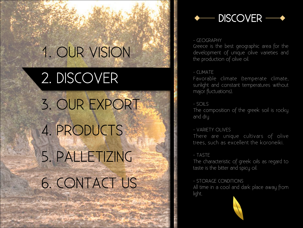### 1. OUR VISION

2. DISCOVER 3. OUR EXPORT 4. PRODUCTS 5. PALLETIZING 6. CONTACT US



#### - GEOGRAPHY

Greece is the best geographic area for the development of unique olive varieties and the production of olive oil.

#### - CLIMATE

Favorable climate (temperate climate, sunlight and constant temperatures without major fluctuations).

#### - SOILS

The composition of the greek soil is rocky and dry

#### - VARIETY OLIVES

There are unique cultivars of olive trees, such as excellent the koroneiki.

#### - TASTE

The characteristic of greek oils as regard to taste is the bitter and spicy oil.

- STORAGE CONDITIONS All time in a cool and dark place away from light.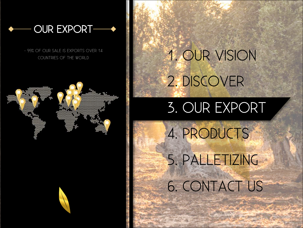

- 99% OF OUR SALE IS EXPORTS OVER 14



# OF OUR SALE IS EXPORTS OVER 14 2. DISCOVER

#### 3. OUR EXPORT

4. PRODUCTS 5. PALLETIZING 6. CONTACT US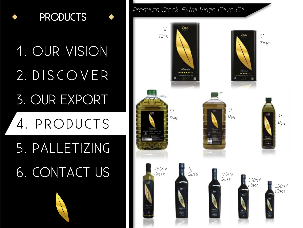# 1. OUR VISION 2. DISCOVER 3. OUR EXPORT

### 4. PRODUCTS

## 5. PALLETIZING 6. CONTACT US

Premium Greek Extra Virgin Olive Oil

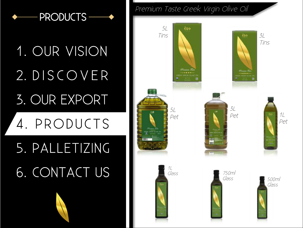# 1. OUR VISION 2. DISCOVER 3. OUR EXPORT

### 4. PRODUCTS

## 5. PALLETIZING 6. CONTACT US

Premium Taste Greek Virgin Olive Oil

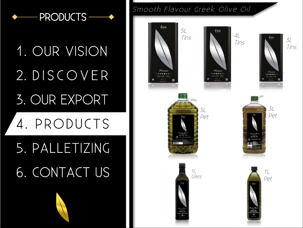# 1. OUR VISION 2. DISCOVER 3. OUR EXPORT

### 4. PRODUCTS

### 5. PALLETIZING 6. CONTACT US

#### Smooth Flavour Greek Olive Oil

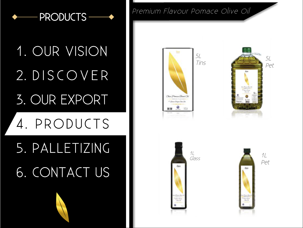# 1. OUR VISION 2. DISCOVER 3. OUR EXPORT

### 4. PRODUCTS

## 5. PALLETIZING 6. CONTACT US



Premium Flavour Pomace Olive Oil





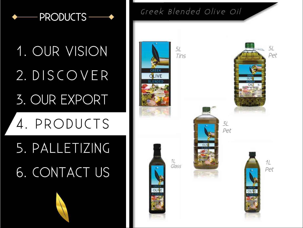

# 1. OUR VISION 2. DISCOVER 3. OUR EXPORT

### 4. PRODUCTS

## 5. PALLETIZING 6. CONTACT US

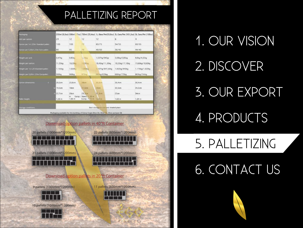#### PALLETIZING REPORT

| Packaging                          |                    |                     |                                         |                                       | 250ml (8,5oz) 500ml (17oz) 750ml (25,4oz) 1L Glass/Pet(33,8oz) 3L Cans/Pet (101,5oz) 5L Cans/Pet (169oz) |                  |
|------------------------------------|--------------------|---------------------|-----------------------------------------|---------------------------------------|----------------------------------------------------------------------------------------------------------|------------------|
| Unit per carton.                   | 24                 | 12                  | 12                                      | 12                                    | 6                                                                                                        |                  |
| Carton per Tx1,20m Standard palet: | 100                | 100                 | 72                                      | <b>60/75</b>                          | 54/55                                                                                                    | 60/55            |
| arten sei 0,80x1,20m füre palet:   | 80                 | 95                  | 70                                      | 48/60                                 | 36/45                                                                                                    | 44/40            |
|                                    |                    |                     |                                         |                                       |                                                                                                          |                  |
| Weight per unit:                   | 0.47k <sub>B</sub> | 0.85k <sub>G</sub>  | 1.16k <sub>0</sub>                      | 1,537kg/940gr                         | 3.08kg/2,85kg                                                                                            | 4.9kg/4.65kg     |
| Weight per carton:                 | 11.35kg            | 10,20 <sub>kg</sub> | 13,90кд                                 | 1B.45kg/11.30kg                       | 18,55kg/17,10kg                                                                                          | 19.60kg/18.60kg  |
| Weight per 1x1,20 Standard patiet: | 1.135kg            | T.020No             | 1.000kg                                 | 1.107kg/847,50kg                      | 1.002kg/940kg                                                                                            | 1.176kg/1.023kg  |
| Waight per 0,80x1,20m Europalist:  | 90Bkg              | 969kg               | $973k$ n                                | 885kg/678kg                           | 668kg/770kg                                                                                              | B63kg/744kg      |
| arton dimensions:<br>×             | 28.5cm             | 23.8cm              | <b>20cm</b>                             | 3D.3cm                                | 35,4cm                                                                                                   | 30.4cm           |
|                                    | <b>Will 19 Scm</b> | 18cm                | 21,5cm                                  | 23 <sub>crit</sub>                    | 30.5cm                                                                                                   | 24.3cm           |
|                                    | 22.7cm             | 28cm                | 29.3cm                                  | 31 Scm                                | 23cm                                                                                                     | 34 <sub>cm</sub> |
| allet height:                      | 1.36 <sub>m</sub>  | WL.<br>1.66 m       | Europ.: Stand: 1.38 m<br>Europ.: 1:72 m | $1.53 \text{ m}$                      | 1.63 <sub>m</sub>                                                                                        | $1,64 =$         |
|                                    |                    |                     |                                         |                                       |                                                                                                          |                  |
| Storage conditions:                |                    |                     |                                         | Best storage in cool and shaded place |                                                                                                          |                  |

#### Download option pallets in 40"ft Container



21 pallets (1000mm\*1200mm)



Download option pallets in 20<sup>\*</sup>ft Container

9 pallets (1000mm\*1200mm)



10 pallets (1000mm\*1200mm)



23 pallets (800mm\*1200mm)



24 pallets (800mm\*1200mm)



11 pallets (800mm\*1200mm)



Products



1. OUR VISION 2. DISCOVER 3. OUR EXPORT 4. PRODUCTS

### 5. PALLETIZING

#### 6. CONTACT US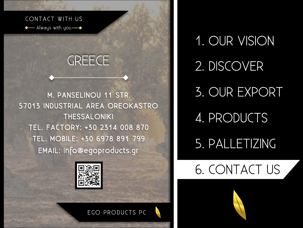#### CONTACT WITH US

- Always with you  $\longrightarrow$ 

#### **GREECE**

M. PANSELINOU 11 STR. 57013 INDUSTRIAL AREA OREOKASTRO **THESSALONIKI** TEL. FACTORY: +30 2314 008 870 TEL. MOBILE: +30 6978 891 799 EMAIL: info@egoproducts.gr



1. OUR VISION 2. DISCOVER 3. OUR EXPORT 4. PRODUCTS 5. PALLETIZING

6. CONTACT US

EGO PRODUCTS PC